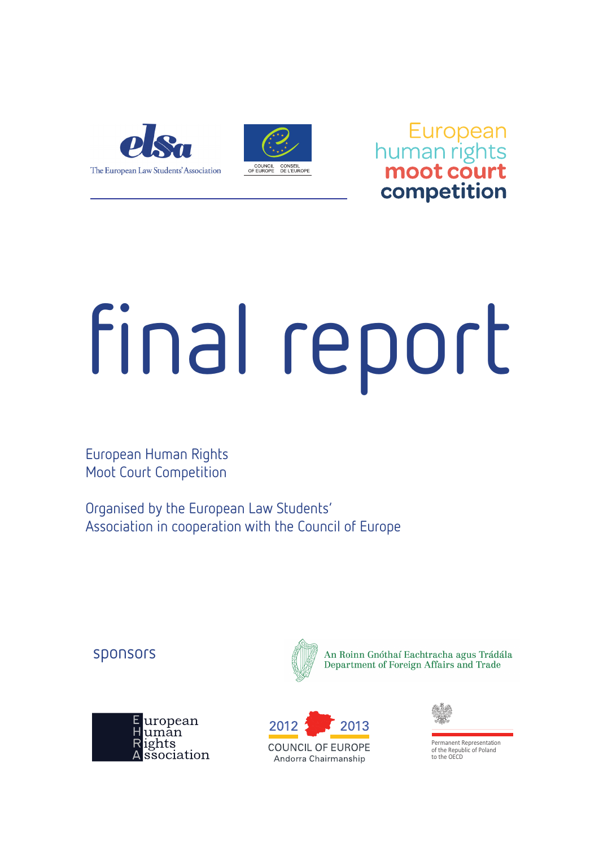

European<br>human rights<br>**moot court** competition

# final report

European Human Rights Moot Court Competition

Organised by the European Law Students' Association in cooperation with the Council of Europe

#### sponsors





An Roinn Gnóthaí Eachtracha agus Trádála Department of Foreign Affairs and Trade





of the Republic of Poland to the OECD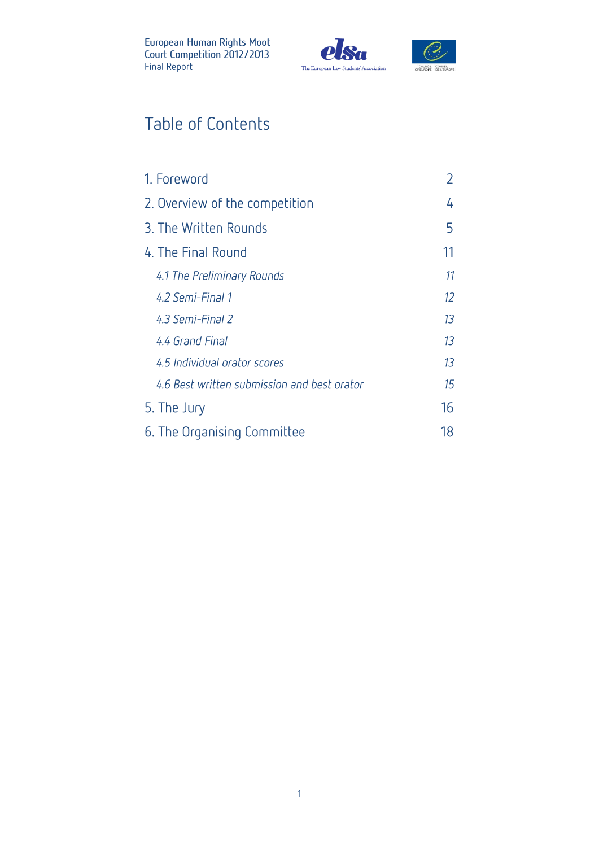



## Table of Contents

| 1. Foreword                                 |    |
|---------------------------------------------|----|
| 2. Overview of the competition              | 4  |
| 3. The Written Rounds                       | 5  |
| 4. The Final Round                          | 11 |
| 4.1 The Preliminary Rounds                  | 11 |
| 4.2 Semi-Final 1                            | 12 |
| 4.3 Semi-Final 2                            | 13 |
| 4.4 Grand Final                             | 13 |
| 4.5 Individual orator scores                | 13 |
| 4.6 Best written submission and best orator | 15 |
| 5. The Jury                                 | 16 |
| 6. The Organising Committee                 | 18 |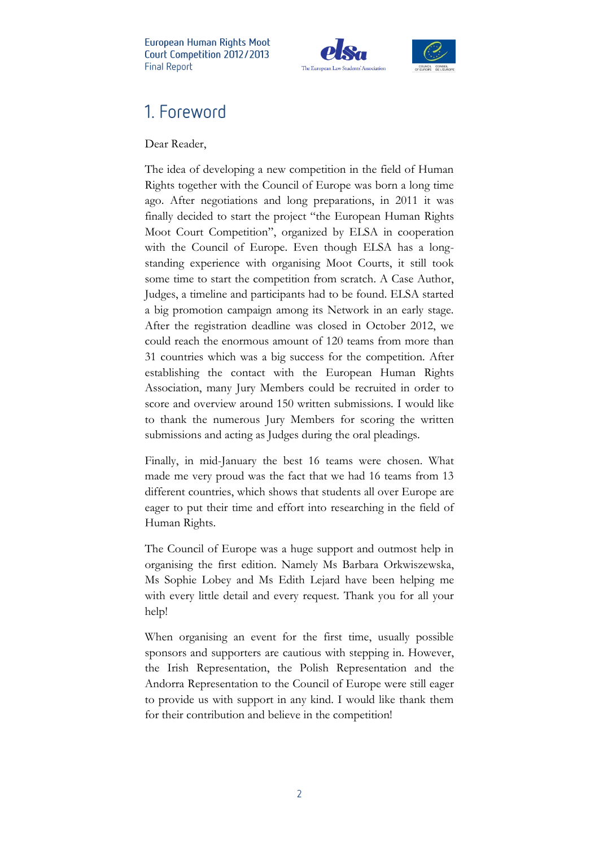



## 1. Foreword

Dear Reader,

The idea of developing a new competition in the field of Human Rights together with the Council of Europe was born a long time ago. After negotiations and long preparations, in 2011 it was finally decided to start the project "the European Human Rights Moot Court Competition", organized by ELSA in cooperation with the Council of Europe. Even though ELSA has a longstanding experience with organising Moot Courts, it still took some time to start the competition from scratch. A Case Author, Judges, a timeline and participants had to be found. ELSA started a big promotion campaign among its Network in an early stage. After the registration deadline was closed in October 2012, we could reach the enormous amount of 120 teams from more than 31 countries which was a big success for the competition. After establishing the contact with the European Human Rights Association, many Jury Members could be recruited in order to score and overview around 150 written submissions. I would like to thank the numerous Jury Members for scoring the written submissions and acting as Judges during the oral pleadings.

Finally, in mid-January the best 16 teams were chosen. What made me very proud was the fact that we had 16 teams from 13 different countries, which shows that students all over Europe are eager to put their time and effort into researching in the field of Human Rights.

The Council of Europe was a huge support and outmost help in organising the first edition. Namely Ms Barbara Orkwiszewska, Ms Sophie Lobey and Ms Edith Lejard have been helping me with every little detail and every request. Thank you for all your help!

When organising an event for the first time, usually possible sponsors and supporters are cautious with stepping in. However, the Irish Representation, the Polish Representation and the Andorra Representation to the Council of Europe were still eager to provide us with support in any kind. I would like thank them for their contribution and believe in the competition!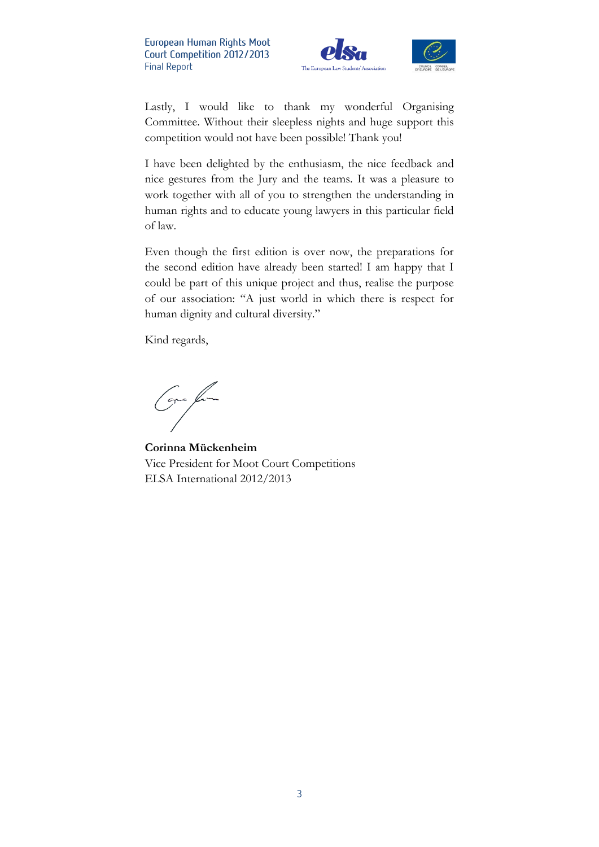



I have been delighted by the enthusiasm, the nice feedback and nice gestures from the Jury and the teams. It was a pleasure to work together with all of you to strengthen the understanding in human rights and to educate young lawyers in this particular field of law.

Even though the first edition is over now, the preparations for the second edition have already been started! I am happy that I could be part of this unique project and thus, realise the purpose of our association: "A just world in which there is respect for human dignity and cultural diversity."

Kind regards,

Green from

**Corinna Mückenheim** Vice President for Moot Court Competitions ELSA International 2012/2013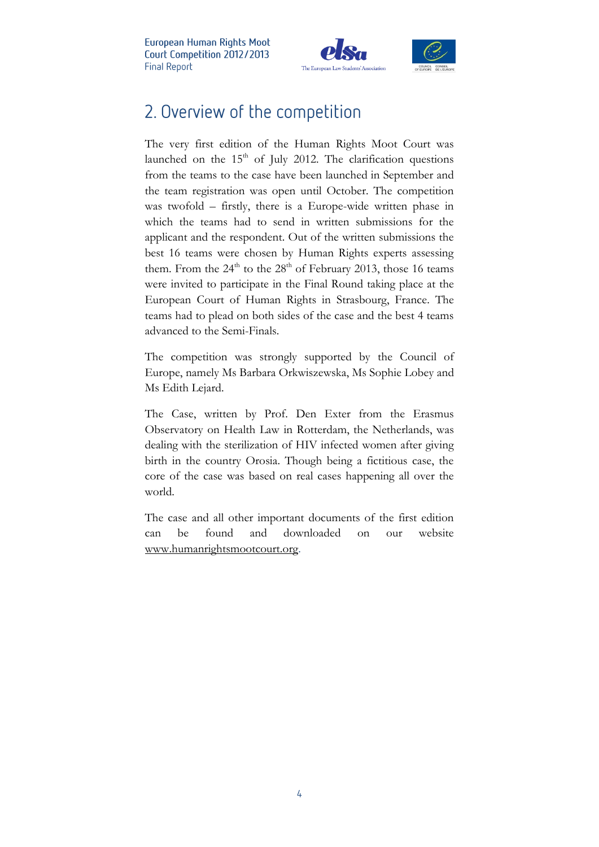

## 2. Overview of the competition

The very first edition of the Human Rights Moot Court was launched on the 15<sup>th</sup> of July 2012. The clarification questions from the teams to the case have been launched in September and the team registration was open until October. The competition was twofold – firstly, there is a Europe-wide written phase in which the teams had to send in written submissions for the applicant and the respondent. Out of the written submissions the best 16 teams were chosen by Human Rights experts assessing them. From the  $24<sup>th</sup>$  to the  $28<sup>th</sup>$  of February 2013, those 16 teams were invited to participate in the Final Round taking place at the European Court of Human Rights in Strasbourg, France. The teams had to plead on both sides of the case and the best 4 teams advanced to the Semi-Finals.

The competition was strongly supported by the Council of Europe, namely Ms Barbara Orkwiszewska, Ms Sophie Lobey and Ms Edith Lejard.

The Case, written by Prof. Den Exter from the Erasmus Observatory on Health Law in Rotterdam, the Netherlands, was dealing with the sterilization of HIV infected women after giving birth in the country Orosia. Though being a fictitious case, the core of the case was based on real cases happening all over the world.

The case and all other important documents of the first edition can be found and downloaded on our website [www.humanrightsmootcourt.org.](http://www.humanrightsmootcourt.org/)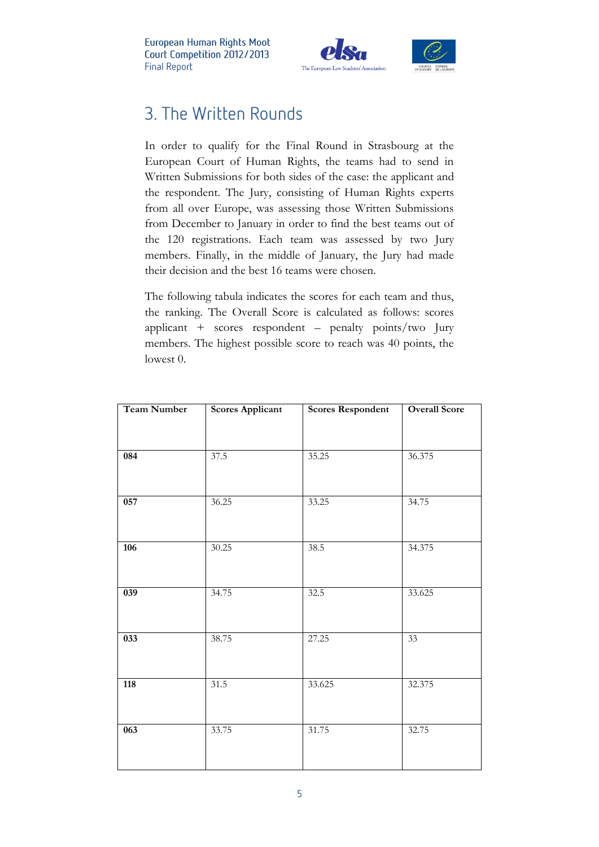

## 3. The Written Rounds

In order to qualify for the Final Round in Strasbourg at the European Court of Human Rights, the teams had to send in Written Submissions for both sides of the case: the applicant and the respondent. The Jury, consisting of Human Rights experts from all over Europe, was assessing those Written Submissions from December to January in order to find the best teams out of the 120 registrations. Each team was assessed by two Jury members. Finally, in the middle of January, the Jury had made their decision and the best 16 teams were chosen.

The following tabula indicates the scores for each team and thus, the ranking. The Overall Score is calculated as follows: scores applicant + scores respondent – penalty points/two Jury members. The highest possible score to reach was 40 points, the lowest 0.

| <b>Team Number</b> | <b>Scores Applicant</b> | <b>Scores Respondent</b> | <b>Overall Score</b> |
|--------------------|-------------------------|--------------------------|----------------------|
|                    |                         |                          |                      |
| 084                | 37.5                    | 35.25                    | 36.375               |
| 057                | 36.25                   | 33.25                    | 34.75                |
| 106                | 30.25                   | 38.5                     | 34.375               |
| 039                | 34.75                   | 32.5                     | 33.625               |
| $\overline{033}$   | 38.75                   | 27.25                    | 33                   |
| 118                | 31.5                    | 33.625                   | 32.375               |
| $\overline{063}$   | 33.75                   | 31.75                    | 32.75                |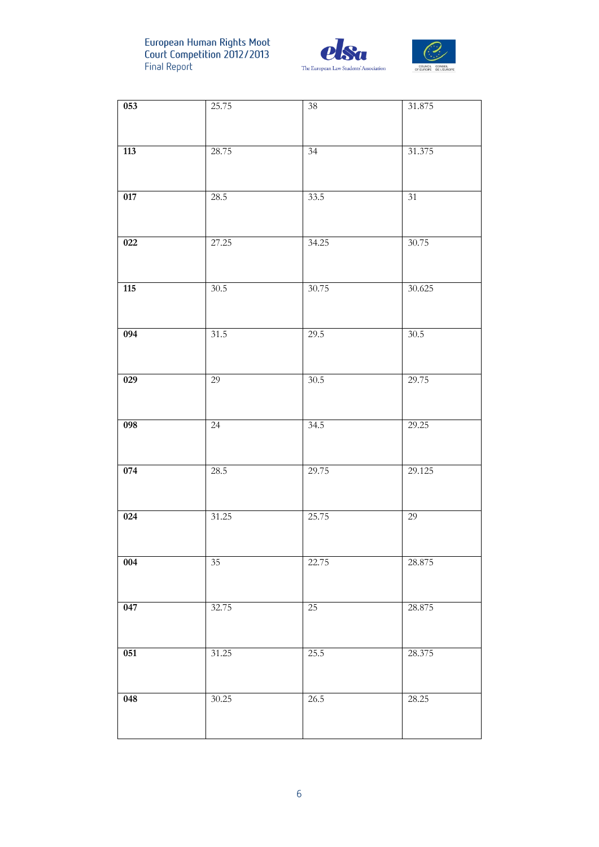



| 053              | 25.75  | $38\,$          | 31.875          |
|------------------|--------|-----------------|-----------------|
| 113              | 28.75  | 34              | 31.375          |
|                  |        |                 |                 |
| 017              | 28.5   | 33.5            | $\overline{31}$ |
| 022              | 27.25  | 34.25           | 30.75           |
| 115              | 30.5   | 30.75           | 30.625          |
| 094              | 31.5   | 29.5            | 30.5            |
| $\overline{029}$ | 29     | 30.5            | 29.75           |
| 098              | $24\,$ | 34.5            | 29.25           |
| 074              | 28.5   | 29.75           | 29.125          |
| 024              | 31.25  | 25.75           | 29              |
| 004              | 35     | 22.75           | 28.875          |
| 047              | 32.75  | $\overline{25}$ | 28.875          |
| 051              | 31.25  | 25.5            | 28.375          |
| 048              | 30.25  | 26.5            | 28.25           |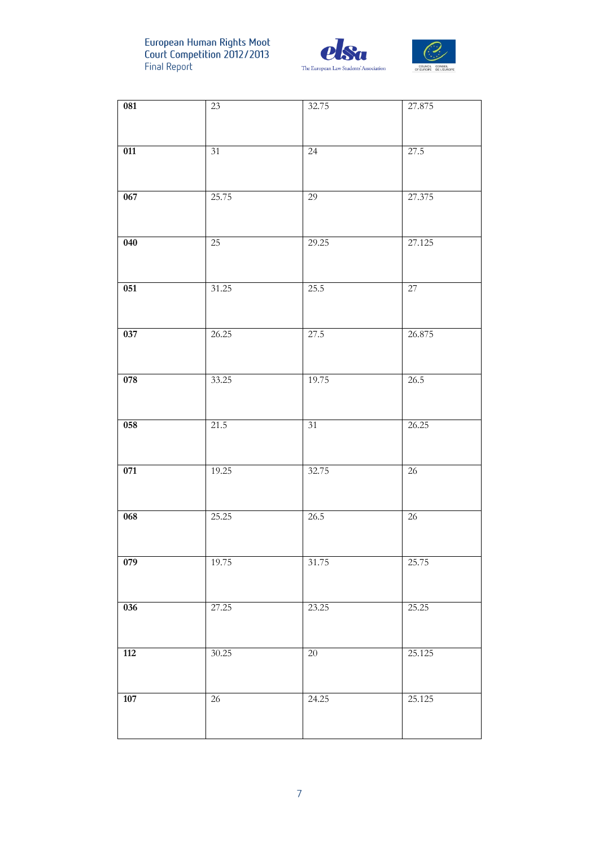



| 081         | 23     | 32.75           | 27.875          |
|-------------|--------|-----------------|-----------------|
|             |        |                 |                 |
| 011         | 31     | $24\,$          | 27.5            |
| 067         | 25.75  | 29              | 27.375          |
|             |        |                 |                 |
| 040         | $25\,$ | 29.25           | 27.125          |
|             |        |                 |                 |
| 051         | 31.25  | 25.5            | $\overline{27}$ |
|             |        |                 |                 |
| 037         | 26.25  | 27.5            | 26.875          |
|             |        |                 |                 |
| 078         | 33.25  | 19.75           | 26.5            |
| 058         | 21.5   | $\overline{31}$ | 26.25           |
|             |        |                 |                 |
| 071         | 19.25  | 32.75           | $\overline{26}$ |
|             |        |                 |                 |
| 068         | 25.25  | 26.5            | $26\,$          |
|             |        |                 |                 |
| 079         | 19.75  | 31.75           | 25.75           |
| 036         | 27.25  | 23.25           | 25.25           |
|             |        |                 |                 |
| 112         | 30.25  | $20\,$          | 25.125          |
|             |        |                 |                 |
| ${\bf 107}$ | $26\,$ | 24.25           | 25.125          |
|             |        |                 |                 |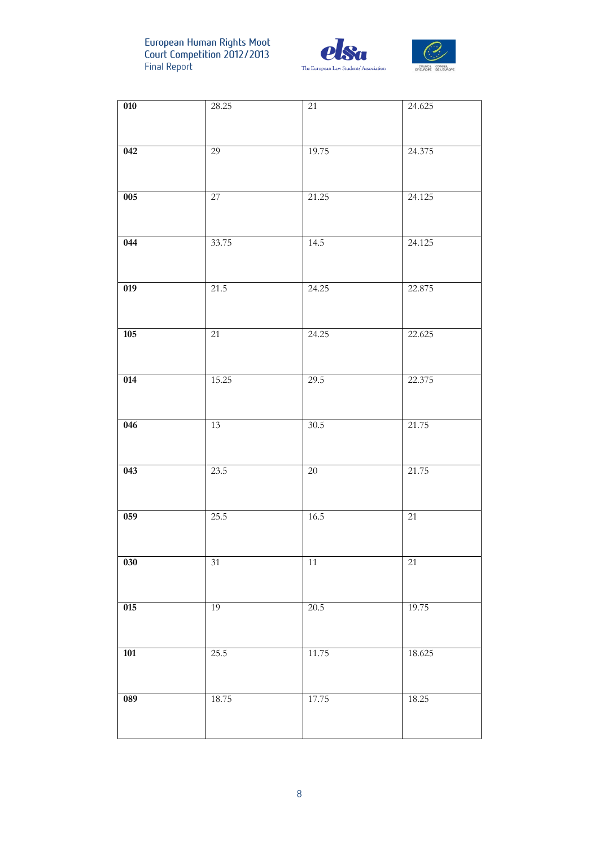



| $\overline{010}$ | 28.25  | 21       | 24.625 |
|------------------|--------|----------|--------|
|                  |        |          |        |
|                  |        |          |        |
| 042              | 29     | 19.75    | 24.375 |
|                  |        |          |        |
|                  |        |          |        |
| 005              | 27     | 21.25    | 24.125 |
|                  |        |          |        |
|                  |        |          |        |
| 044              | 33.75  | 14.5     | 24.125 |
|                  |        |          |        |
| $\overline{019}$ | 21.5   | 24.25    | 22.875 |
|                  |        |          |        |
|                  |        |          |        |
| 105              | 21     | 24.25    | 22.625 |
|                  |        |          |        |
|                  |        |          |        |
| 014              | 15.25  | 29.5     | 22.375 |
|                  |        |          |        |
|                  |        |          |        |
| 046              | 13     | 30.5     | 21.75  |
|                  |        |          |        |
|                  |        |          |        |
| $\overline{043}$ | 23.5   | $20\,$   | 21.75  |
|                  |        |          |        |
|                  |        |          |        |
| 059              | 25.5   | $16.5\,$ | $21\,$ |
|                  |        |          |        |
|                  |        |          |        |
| ${\bf 030}$      | $31\,$ | $11\,$   | $21\,$ |
|                  |        |          |        |
|                  | 19     |          |        |
| 015              |        | 20.5     | 19.75  |
|                  |        |          |        |
| ${\bf 101}$      | 25.5   | 11.75    | 18.625 |
|                  |        |          |        |
|                  |        |          |        |
| 089              | 18.75  | 17.75    | 18.25  |
|                  |        |          |        |
|                  |        |          |        |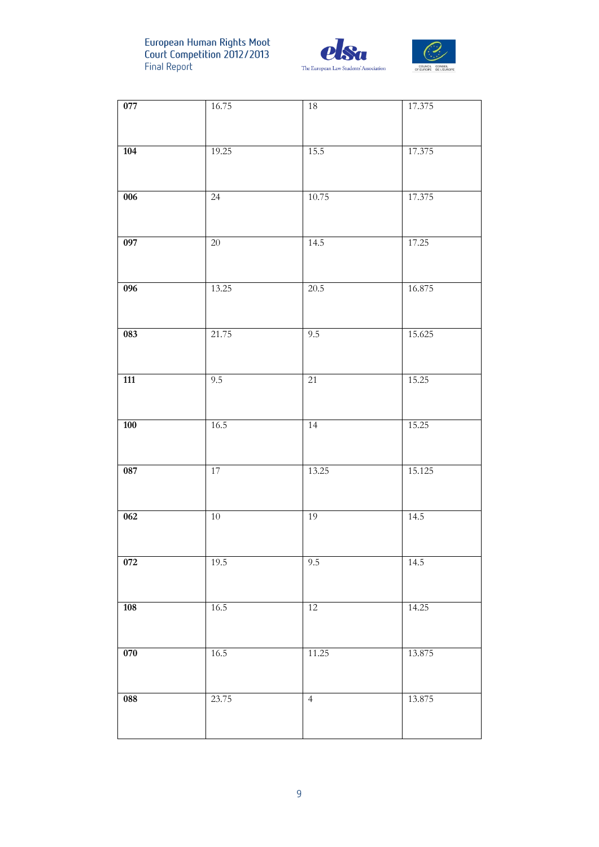



| 077              | 16.75  | $18\,$         | 17.375 |
|------------------|--------|----------------|--------|
| 104              | 19.25  | 15.5           | 17.375 |
| $\overline{006}$ | $24\,$ | 10.75          | 17.375 |
| 097              | $20\,$ | 14.5           | 17.25  |
| 096              | 13.25  | 20.5           | 16.875 |
| 083              | 21.75  | 9.5            | 15.625 |
| $\overline{111}$ | 9.5    | 21             | 15.25  |
| <b>100</b>       | 16.5   | 14             | 15.25  |
| 087              | 17     | 13.25          | 15.125 |
| 062              | $10\,$ | 19             | 14.5   |
| 072              | 19.5   | 9.5            | 14.5   |
| 108              | 16.5   | 12             | 14.25  |
| ${\bf 070}$      | 16.5   | 11.25          | 13.875 |
| 088              | 23.75  | $\overline{4}$ | 13.875 |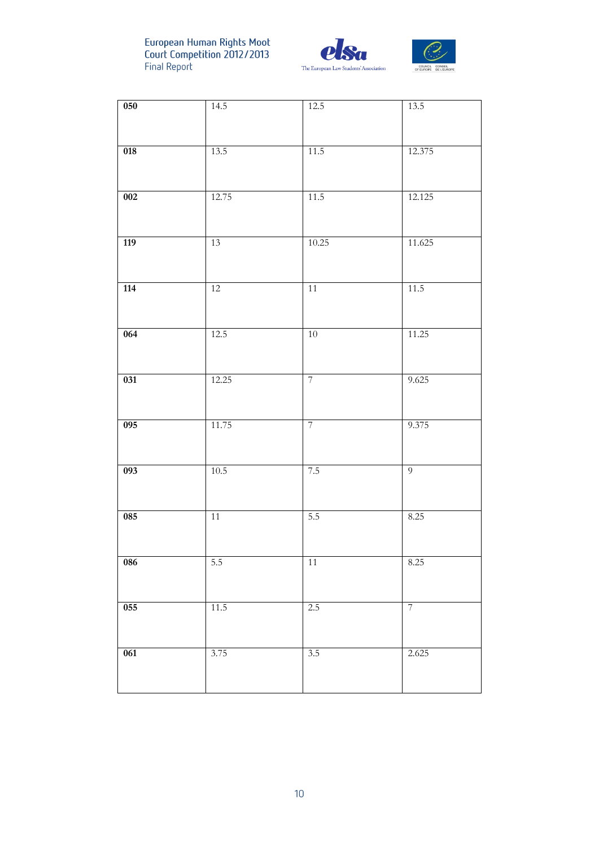



| 050              | 14.5   | 12.5              | 13.5             |
|------------------|--------|-------------------|------------------|
|                  |        |                   |                  |
| $\overline{018}$ | 13.5   | 11.5              | 12.375           |
|                  |        |                   |                  |
| 002              | 12.75  | $\overline{11.5}$ | 12.125           |
|                  |        |                   |                  |
| 119              | 13     | 10.25             | 11.625           |
|                  |        |                   |                  |
| 114              | 12     | 11                | 11.5             |
|                  |        |                   |                  |
| 064              | 12.5   | 10                | 11.25            |
|                  |        |                   |                  |
| 031              | 12.25  | $\overline{7}$    | 9.625            |
|                  |        |                   |                  |
| 095              | 11.75  | $\overline{7}$    | 9.375            |
|                  |        |                   |                  |
| $\overline{093}$ | 10.5   | 7.5               | $\overline{9}$   |
|                  |        |                   |                  |
| 085              | $11\,$ | 5.5               | 8.25             |
|                  |        |                   |                  |
| 086              | 5.5    | $11\,$            | $8.25\,$         |
|                  |        |                   |                  |
| 055              | $11.5$ | $2.5$             | $\boldsymbol{7}$ |
|                  |        |                   |                  |
| $\overline{061}$ | 3.75   | $\overline{3.5}$  | 2.625            |
|                  |        |                   |                  |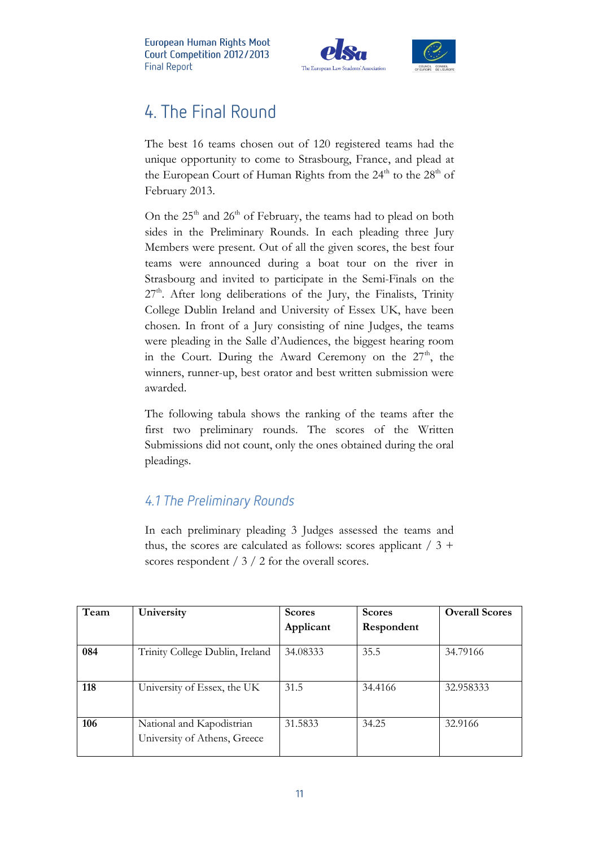

## 4. The Final Round

The best 16 teams chosen out of 120 registered teams had the unique opportunity to come to Strasbourg, France, and plead at the European Court of Human Rights from the  $24<sup>th</sup>$  to the  $28<sup>th</sup>$  of February 2013.

On the  $25<sup>th</sup>$  and  $26<sup>th</sup>$  of February, the teams had to plead on both sides in the Preliminary Rounds. In each pleading three Jury Members were present. Out of all the given scores, the best four teams were announced during a boat tour on the river in Strasbourg and invited to participate in the Semi-Finals on the  $27<sup>th</sup>$ . After long deliberations of the Jury, the Finalists, Trinity College Dublin Ireland and University of Essex UK, have been chosen. In front of a Jury consisting of nine Judges, the teams were pleading in the Salle d'Audiences, the biggest hearing room in the Court. During the Award Ceremony on the  $27<sup>th</sup>$ , the winners, runner-up, best orator and best written submission were awarded.

The following tabula shows the ranking of the teams after the first two preliminary rounds. The scores of the Written Submissions did not count, only the ones obtained during the oral pleadings.

#### 4.1 The Preliminary Rounds

In each preliminary pleading 3 Judges assessed the teams and thus, the scores are calculated as follows: scores applicant  $/ 3 +$ scores respondent / 3 / 2 for the overall scores.

| Team | University                      | <b>Scores</b> | <b>Scores</b> | <b>Overall Scores</b> |
|------|---------------------------------|---------------|---------------|-----------------------|
|      |                                 | Applicant     | Respondent    |                       |
|      |                                 |               |               |                       |
| 084  | Trinity College Dublin, Ireland | 34.08333      | 35.5          | 34.79166              |
|      |                                 |               |               |                       |
| 118  | University of Essex, the UK     | 31.5          | 34.4166       | 32.958333             |
|      |                                 |               |               |                       |
|      |                                 |               |               |                       |
| 106  | National and Kapodistrian       | 31.5833       | 34.25         | 32.9166               |
|      | University of Athens, Greece    |               |               |                       |
|      |                                 |               |               |                       |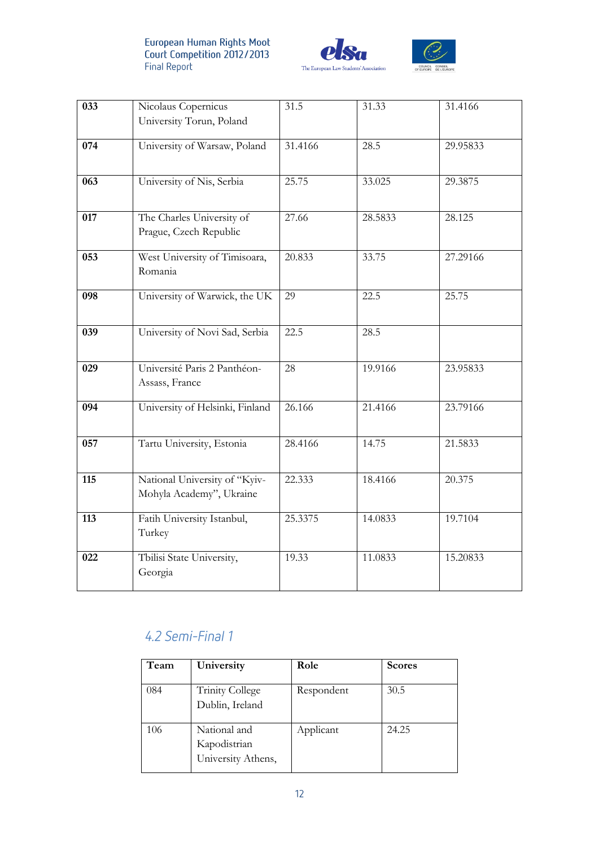



| 033 | Nicolaus Copernicus<br>University Torun, Poland           | 31.5    | 31.33   | 31.4166  |
|-----|-----------------------------------------------------------|---------|---------|----------|
| 074 | University of Warsaw, Poland                              | 31.4166 | 28.5    | 29.95833 |
| 063 | University of Nis, Serbia                                 | 25.75   | 33.025  | 29.3875  |
| 017 | The Charles University of<br>Prague, Czech Republic       | 27.66   | 28.5833 | 28.125   |
| 053 | West University of Timisoara,<br>Romania                  | 20.833  | 33.75   | 27.29166 |
| 098 | University of Warwick, the UK                             | 29      | 22.5    | 25.75    |
| 039 | University of Novi Sad, Serbia                            | 22.5    | 28.5    |          |
| 029 | Université Paris 2 Panthéon-<br>Assass, France            | 28      | 19.9166 | 23.95833 |
| 094 | University of Helsinki, Finland                           | 26.166  | 21.4166 | 23.79166 |
| 057 | Tartu University, Estonia                                 | 28.4166 | 14.75   | 21.5833  |
| 115 | National University of "Kyiv-<br>Mohyla Academy", Ukraine | 22.333  | 18.4166 | 20.375   |
| 113 | Fatih University Istanbul,<br>Turkey                      | 25.3375 | 14.0833 | 19.7104  |
| 022 | Tbilisi State University,<br>Georgia                      | 19.33   | 11.0833 | 15.20833 |

### 4.2 Semi-Final 1

| Team | University                                         | Role       | <b>Scores</b> |
|------|----------------------------------------------------|------------|---------------|
| 084  | <b>Trinity College</b><br>Dublin, Ireland          | Respondent | 30.5          |
| 106  | National and<br>Kapodistrian<br>University Athens, | Applicant  | 24.25         |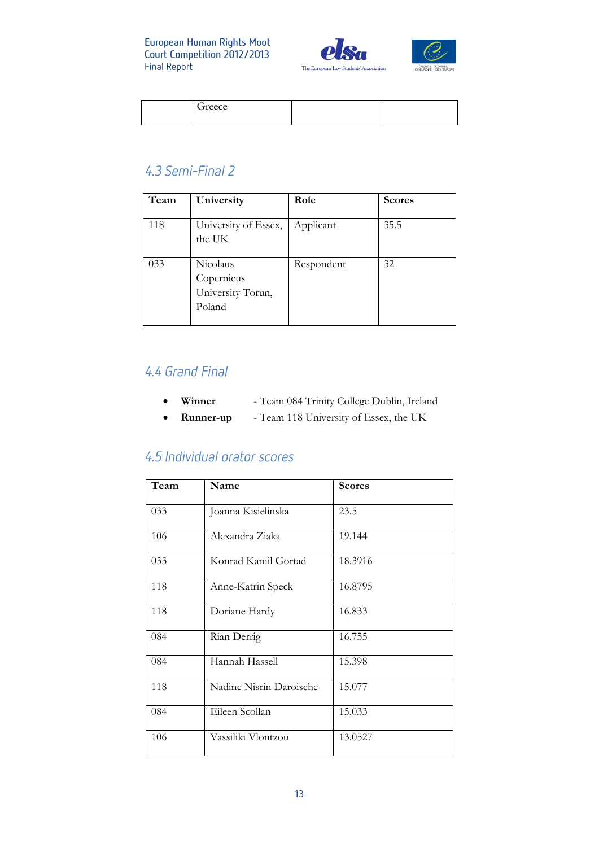



| <i>reece</i> |  |  |
|--------------|--|--|
|--------------|--|--|

#### 4.3 Semi-Final 2

| Team | University                                            | Role       | <b>Scores</b> |
|------|-------------------------------------------------------|------------|---------------|
| 118  | University of Essex,<br>the UK                        | Applicant  | 35.5          |
| 033  | Nicolaus<br>Copernicus<br>University Torun,<br>Poland | Respondent | 32            |

#### 4.4 Grand Final

- **Winner** Team 084 Trinity College Dublin, Ireland
- **Runner-up** Team 118 University of Essex, the UK

#### 4.5 Individual orator scores

| Team | Name                    | <b>Scores</b> |
|------|-------------------------|---------------|
| 033  | Joanna Kisielinska      | 23.5          |
| 106  | Alexandra Ziaka         | 19.144        |
| 033  | Konrad Kamil Gortad     | 18.3916       |
| 118  | Anne-Katrin Speck       | 16.8795       |
| 118  | Doriane Hardy           | 16.833        |
| 084  | Rian Derrig             | 16.755        |
| 084  | Hannah Hassell          | 15.398        |
| 118  | Nadine Nisrin Daroische | 15.077        |
| 084  | Eileen Scollan          | 15.033        |
| 106  | Vassiliki Vlontzou      | 13.0527       |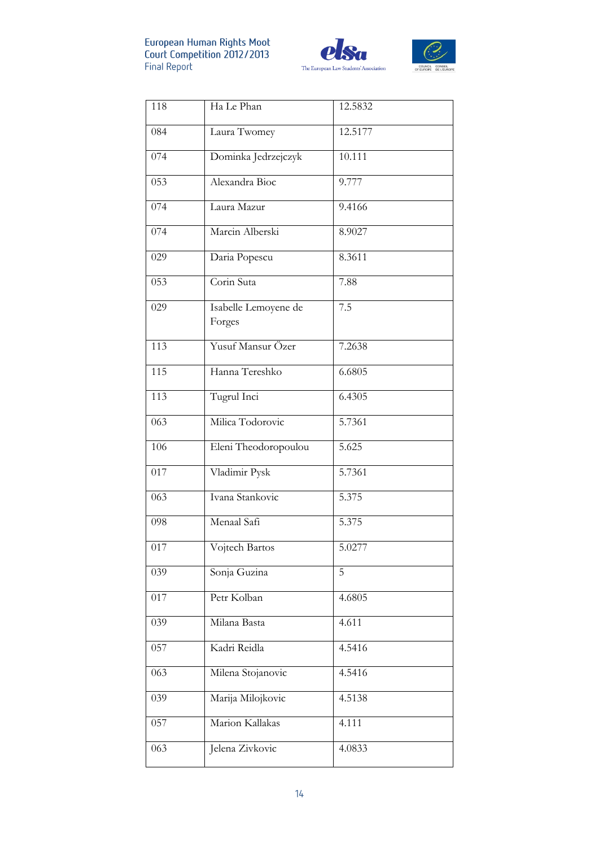



| 118 | Ha Le Phan                     | 12.5832 |
|-----|--------------------------------|---------|
| 084 | Laura Twomey                   | 12.5177 |
| 074 | Dominka Jedrzejczyk            | 10.111  |
| 053 | Alexandra Bioc                 | 9.777   |
| 074 | Laura Mazur                    | 9.4166  |
| 074 | Marcin Alberski                | 8.9027  |
| 029 | Daria Popescu                  | 8.3611  |
| 053 | Corin Suta                     | 7.88    |
| 029 | Isabelle Lemoyene de<br>Forges | 7.5     |
| 113 | Yusuf Mansur Özer              | 7.2638  |
| 115 | Hanna Tereshko                 | 6.6805  |
| 113 | Tugrul Inci                    | 6.4305  |
| 063 | Milica Todorovic               | 5.7361  |
| 106 | Eleni Theodoropoulou           | 5.625   |
| 017 | Vladimir Pysk                  | 5.7361  |
| 063 | Ivana Stankovic                | 5.375   |
| 098 | Menaal Safi                    | 5.375   |
| 017 | Vojtech Bartos                 | 5.0277  |
| 039 | Sonja Guzina                   | 5       |
| 017 | Petr Kolban                    | 4.6805  |
| 039 | Milana Basta                   | 4.611   |
| 057 | Kadri Reidla                   | 4.5416  |
| 063 | Milena Stojanovic              | 4.5416  |
| 039 | Marija Milojkovic              | 4.5138  |
| 057 | Marion Kallakas                | 4.111   |
| 063 | Jelena Zivkovic                | 4.0833  |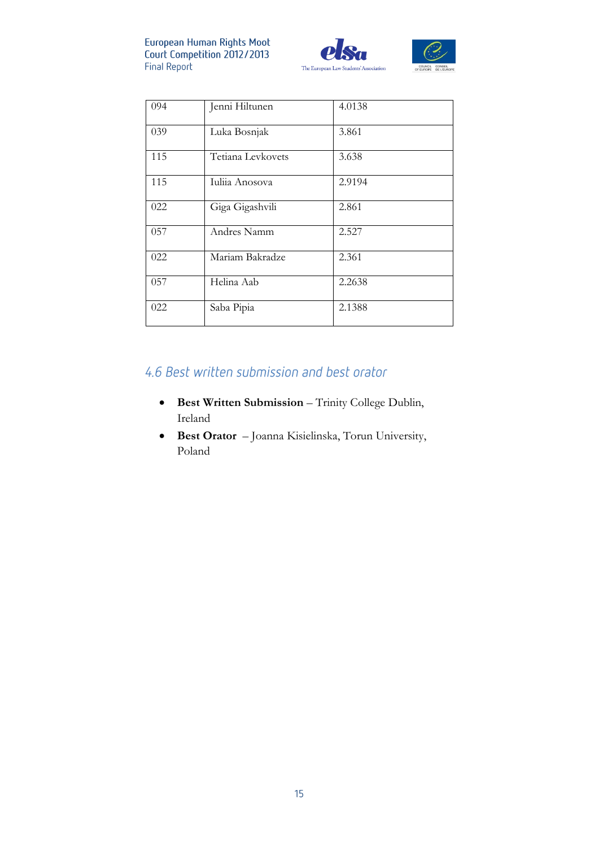



| 094 | Jenni Hiltunen    | 4.0138 |
|-----|-------------------|--------|
| 039 | Luka Bosnjak      | 3.861  |
| 115 | Tetiana Levkovets | 3.638  |
| 115 | Iuliia Anosova    | 2.9194 |
| 022 | Giga Gigashvili   | 2.861  |
| 057 | Andres Namm       | 2.527  |
| 022 | Mariam Bakradze   | 2.361  |
| 057 | Helina Aab        | 2.2638 |
| 022 | Saba Pipia        | 2.1388 |

#### 4.6 Best written submission and best orator

- **Best Written Submission** Trinity College Dublin, Ireland
- **Best Orator** Joanna Kisielinska, Torun University, Poland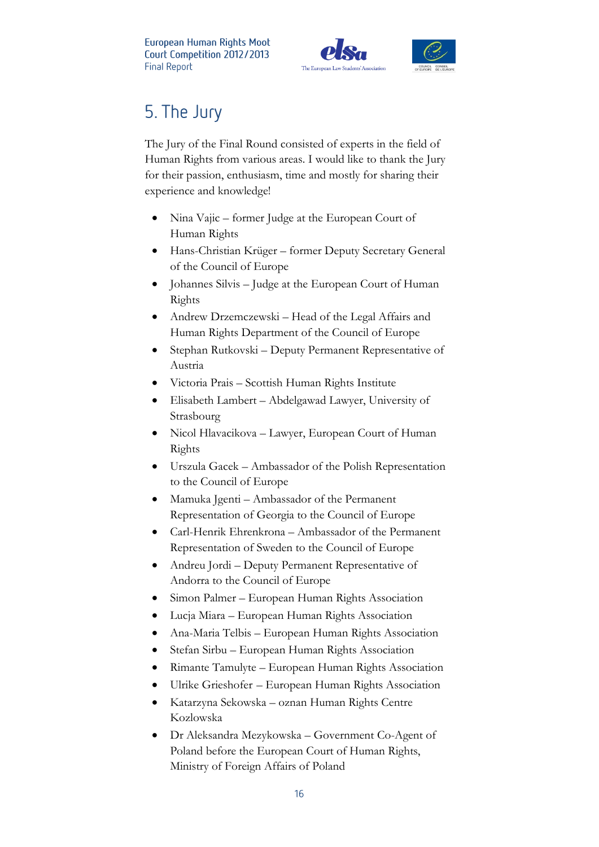



The Jury of the Final Round consisted of experts in the field of Human Rights from various areas. I would like to thank the Jury for their passion, enthusiasm, time and mostly for sharing their experience and knowledge!

- Nina Vajic former Judge at the European Court of Human Rights
- Hans-Christian Krüger former Deputy Secretary General of the Council of Europe
- Johannes Silvis Judge at the European Court of Human Rights
- Andrew Drzemczewski Head of the Legal Affairs and Human Rights Department of the Council of Europe
- Stephan Rutkovski Deputy Permanent Representative of Austria
- Victoria Prais Scottish Human Rights Institute
- Elisabeth Lambert Abdelgawad Lawyer, University of Strasbourg
- Nicol Hlavacikova Lawyer, European Court of Human Rights
- Urszula Gacek Ambassador of the Polish Representation to the Council of Europe
- Mamuka Jgenti Ambassador of the Permanent Representation of Georgia to the Council of Europe
- Carl-Henrik Ehrenkrona Ambassador of the Permanent Representation of Sweden to the Council of Europe
- Andreu Jordi Deputy Permanent Representative of Andorra to the Council of Europe
- Simon Palmer European Human Rights Association
- Lucja Miara European Human Rights Association
- Ana-Maria Telbis European Human Rights Association
- Stefan Sirbu European Human Rights Association
- Rimante Tamulyte European Human Rights Association
- Ulrike Grieshofer European Human Rights Association
- Katarzyna Sekowska oznan Human Rights Centre Kozlowska
- Dr Aleksandra Mezykowska Government Co-Agent of Poland before the European Court of Human Rights, Ministry of Foreign Affairs of Poland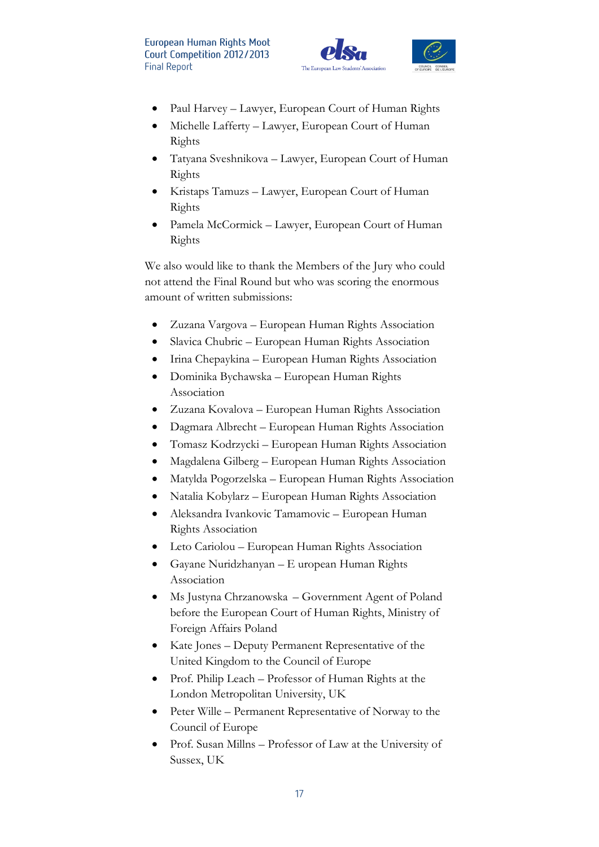



- Paul Harvey Lawyer, European Court of Human Rights
- Michelle Lafferty Lawyer, European Court of Human Rights
- Tatyana Sveshnikova Lawyer, European Court of Human Rights
- Kristaps Tamuzs Lawyer, European Court of Human Rights
- Pamela McCormick Lawyer, European Court of Human Rights

We also would like to thank the Members of the Jury who could not attend the Final Round but who was scoring the enormous amount of written submissions:

- Zuzana Vargova European Human Rights Association
- Slavica Chubric European Human Rights Association
- Irina Chepaykina European Human Rights Association
- Dominika Bychawska European Human Rights Association
- Zuzana Kovalova European Human Rights Association
- Dagmara Albrecht European Human Rights Association
- Tomasz Kodrzycki European Human Rights Association
- Magdalena Gilberg European Human Rights Association
- Matylda Pogorzelska European Human Rights Association
- Natalia Kobylarz European Human Rights Association
- Aleksandra Ivankovic Tamamovic European Human Rights Association
- Leto Cariolou European Human Rights Association
- Gayane Nuridzhanyan E uropean Human Rights Association
- Ms Justyna Chrzanowska Government Agent of Poland before the European Court of Human Rights, Ministry of Foreign Affairs Poland
- Kate Jones Deputy Permanent Representative of the United Kingdom to the Council of Europe
- Prof. Philip Leach Professor of Human Rights at the London Metropolitan University, UK
- Peter Wille Permanent Representative of Norway to the Council of Europe
- Prof. Susan Millns Professor of Law at the University of Sussex, UK